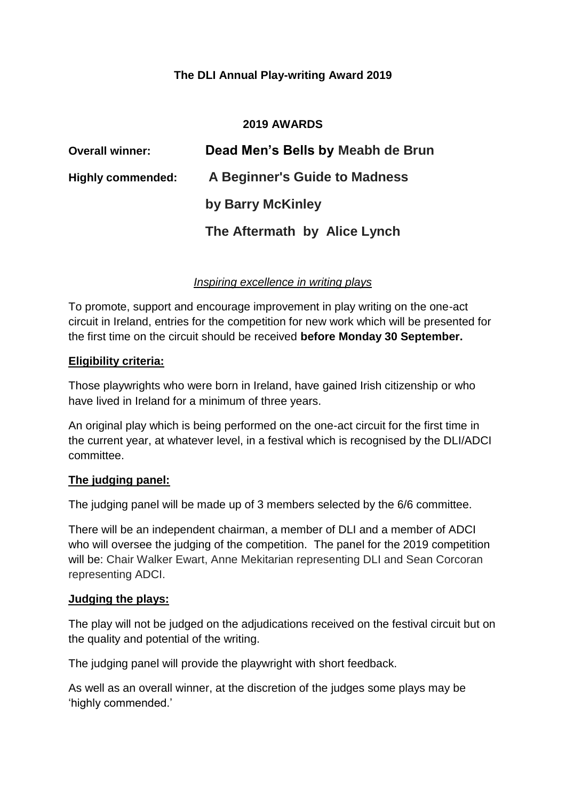# **The DLI Annual Play-writing Award 2019**

### **2019 AWARDS**

| <b>Overall winner:</b>   | Dead Men's Bells by Meabh de Brun |
|--------------------------|-----------------------------------|
| <b>Highly commended:</b> | A Beginner's Guide to Madness     |
|                          | by Barry McKinley                 |
|                          | The Aftermath by Alice Lynch      |

### *Inspiring excellence in writing plays*

To promote, support and encourage improvement in play writing on the one-act circuit in Ireland, entries for the competition for new work which will be presented for the first time on the circuit should be received **before Monday 30 September.**

#### **Eligibility criteria:**

Those playwrights who were born in Ireland, have gained Irish citizenship or who have lived in Ireland for a minimum of three years.

An original play which is being performed on the one-act circuit for the first time in the current year, at whatever level, in a festival which is recognised by the DLI/ADCI committee.

#### **The judging panel:**

The judging panel will be made up of 3 members selected by the 6/6 committee.

There will be an independent chairman, a member of DLI and a member of ADCI who will oversee the judging of the competition. The panel for the 2019 competition will be: Chair Walker Ewart, Anne Mekitarian representing DLI and Sean Corcoran representing ADCI.

#### **Judging the plays:**

The play will not be judged on the adjudications received on the festival circuit but on the quality and potential of the writing.

The judging panel will provide the playwright with short feedback.

As well as an overall winner, at the discretion of the judges some plays may be 'highly commended.'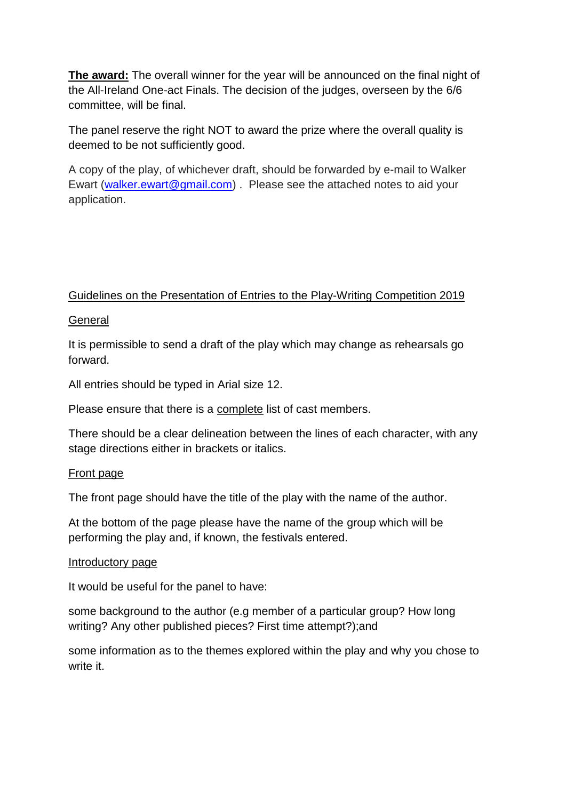**The award:** The overall winner for the year will be announced on the final night of the All-Ireland One-act Finals. The decision of the judges, overseen by the 6/6 committee, will be final.

The panel reserve the right NOT to award the prize where the overall quality is deemed to be not sufficiently good.

A copy of the play, of whichever draft, should be forwarded by e-mail to Walker Ewart [\(walker.ewart@gmail.com\)](mailto:walker.ewart@gmail.com). Please see the attached notes to aid your application.

# Guidelines on the Presentation of Entries to the Play-Writing Competition 2019

## General

It is permissible to send a draft of the play which may change as rehearsals go forward.

All entries should be typed in Arial size 12.

Please ensure that there is a complete list of cast members.

There should be a clear delineation between the lines of each character, with any stage directions either in brackets or italics.

#### Front page

The front page should have the title of the play with the name of the author.

At the bottom of the page please have the name of the group which will be performing the play and, if known, the festivals entered.

#### Introductory page

It would be useful for the panel to have:

some background to the author (e.g member of a particular group? How long writing? Any other published pieces? First time attempt?);and

some information as to the themes explored within the play and why you chose to write it.